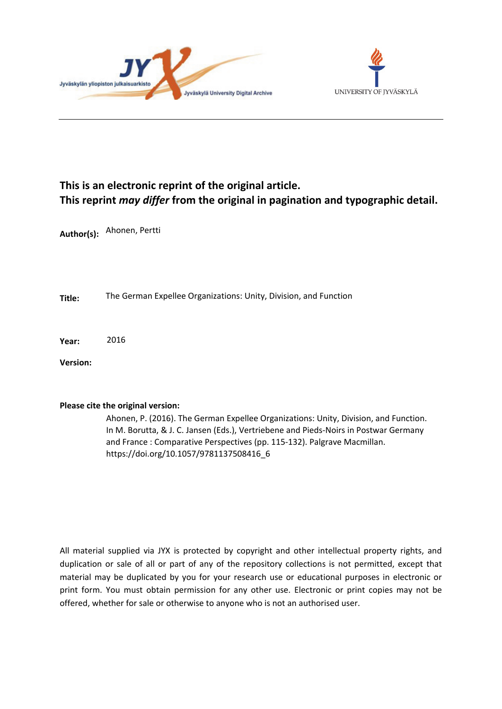



# **This is an electronic reprint of the original article. This reprint** *may differ* **from the original in pagination and typographic detail.**

**Author(s):**  Ahonen, Pertti

**Title:** The German Expellee Organizations: Unity, Division, and Function

**Year:**  2016

**Version:**

### **Please cite the original version:**

Ahonen, P. (2016). The German Expellee Organizations: Unity, Division, and Function. In M. Borutta, & J. C. Jansen (Eds.), Vertriebene and Pieds-Noirs in Postwar Germany and France : Comparative Perspectives (pp. 115-132). Palgrave Macmillan. https://doi.org/10.1057/9781137508416\_6

All material supplied via JYX is protected by copyright and other intellectual property rights, and duplication or sale of all or part of any of the repository collections is not permitted, except that material may be duplicated by you for your research use or educational purposes in electronic or print form. You must obtain permission for any other use. Electronic or print copies may not be offered, whether for sale or otherwise to anyone who is not an authorised user.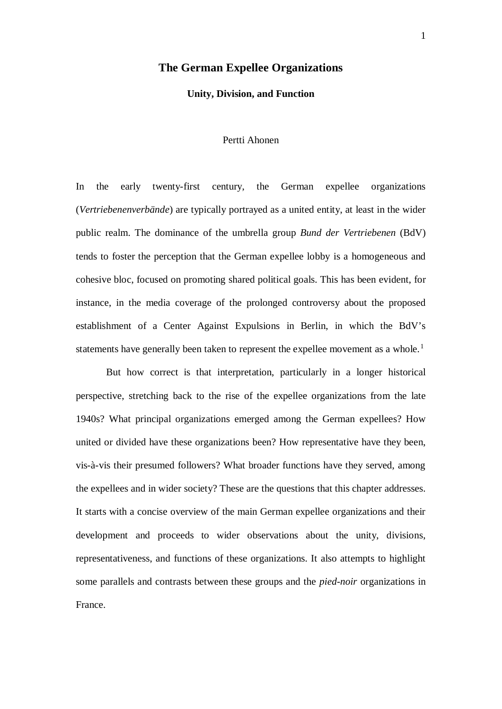## **The German Expellee Organizations**

#### **Unity, Division, and Function**

#### Pertti Ahonen

In the early twenty-first century, the German expellee organizations (*Vertriebenenverbände*) are typically portrayed as a united entity, at least in the wider public realm. The dominance of the umbrella group *Bund der Vertriebenen* (BdV) tends to foster the perception that the German expellee lobby is a homogeneous and cohesive bloc, focused on promoting shared political goals. This has been evident, for instance, in the media coverage of the prolonged controversy about the proposed establishment of a Center Against Expulsions in Berlin, in which the BdV's statements have generally been taken to represent the expellee movement as a whole.<sup>1</sup>

But how correct is that interpretation, particularly in a longer historical perspective, stretching back to the rise of the expellee organizations from the late 1940s? What principal organizations emerged among the German expellees? How united or divided have these organizations been? How representative have they been, vis-à-vis their presumed followers? What broader functions have they served, among the expellees and in wider society? These are the questions that this chapter addresses. It starts with a concise overview of the main German expellee organizations and their development and proceeds to wider observations about the unity, divisions, representativeness, and functions of these organizations. It also attempts to highlight some parallels and contrasts between these groups and the *pied-noir* organizations in France.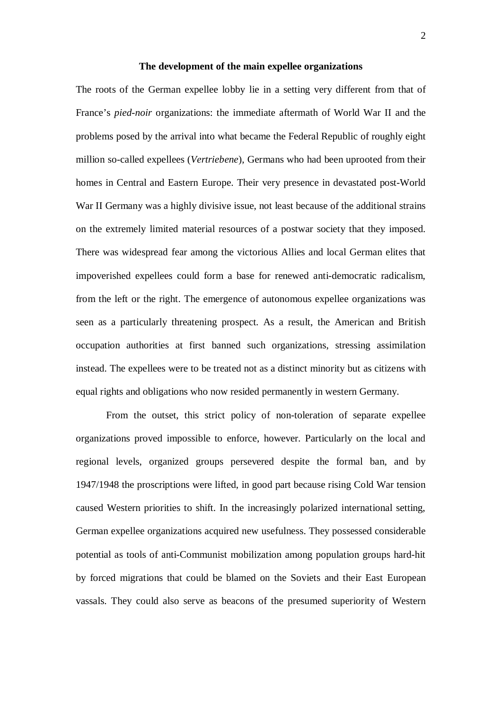#### **The development of the main expellee organizations**

The roots of the German expellee lobby lie in a setting very different from that of France's *pied-noir* organizations: the immediate aftermath of World War II and the problems posed by the arrival into what became the Federal Republic of roughly eight million so-called expellees (*Vertriebene*), Germans who had been uprooted from their homes in Central and Eastern Europe. Their very presence in devastated post-World War II Germany was a highly divisive issue, not least because of the additional strains on the extremely limited material resources of a postwar society that they imposed. There was widespread fear among the victorious Allies and local German elites that impoverished expellees could form a base for renewed anti-democratic radicalism, from the left or the right. The emergence of autonomous expellee organizations was seen as a particularly threatening prospect. As a result, the American and British occupation authorities at first banned such organizations, stressing assimilation instead. The expellees were to be treated not as a distinct minority but as citizens with equal rights and obligations who now resided permanently in western Germany.

From the outset, this strict policy of non-toleration of separate expellee organizations proved impossible to enforce, however. Particularly on the local and regional levels, organized groups persevered despite the formal ban, and by 1947/1948 the proscriptions were lifted, in good part because rising Cold War tension caused Western priorities to shift. In the increasingly polarized international setting, German expellee organizations acquired new usefulness. They possessed considerable potential as tools of anti-Communist mobilization among population groups hard-hit by forced migrations that could be blamed on the Soviets and their East European vassals. They could also serve as beacons of the presumed superiority of Western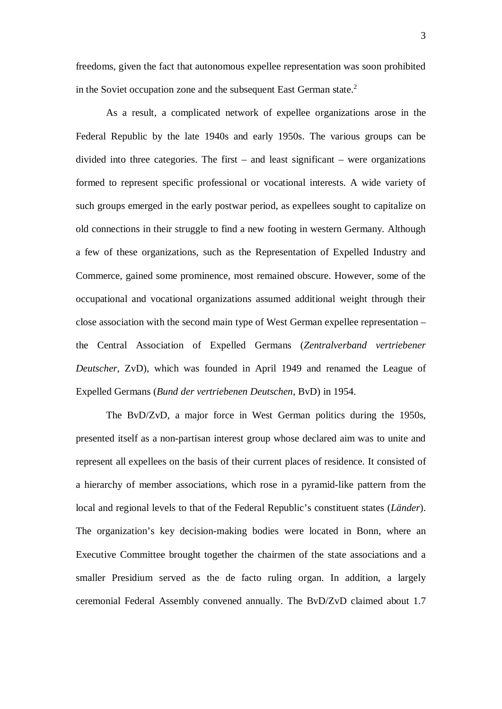freedoms, given the fact that autonomous expellee representation was soon prohibited in the Soviet occupation zone and the subsequent East German state. $2$ 

As a result, a complicated network of expellee organizations arose in the Federal Republic by the late 1940s and early 1950s. The various groups can be divided into three categories. The first – and least significant – were organizations formed to represent specific professional or vocational interests. A wide variety of such groups emerged in the early postwar period, as expellees sought to capitalize on old connections in their struggle to find a new footing in western Germany. Although a few of these organizations, such as the Representation of Expelled Industry and Commerce, gained some prominence, most remained obscure. However, some of the occupational and vocational organizations assumed additional weight through their close association with the second main type of West German expellee representation – the Central Association of Expelled Germans (*Zentralverband vertriebener Deutscher*, ZvD), which was founded in April 1949 and renamed the League of Expelled Germans (*Bund der vertriebenen Deutschen*, BvD) in 1954.

The BvD/ZvD, a major force in West German politics during the 1950s, presented itself as a non-partisan interest group whose declared aim was to unite and represent all expellees on the basis of their current places of residence. It consisted of a hierarchy of member associations, which rose in a pyramid-like pattern from the local and regional levels to that of the Federal Republic's constituent states (*Länder*). The organization's key decision-making bodies were located in Bonn, where an Executive Committee brought together the chairmen of the state associations and a smaller Presidium served as the de facto ruling organ. In addition, a largely ceremonial Federal Assembly convened annually. The BvD/ZvD claimed about 1.7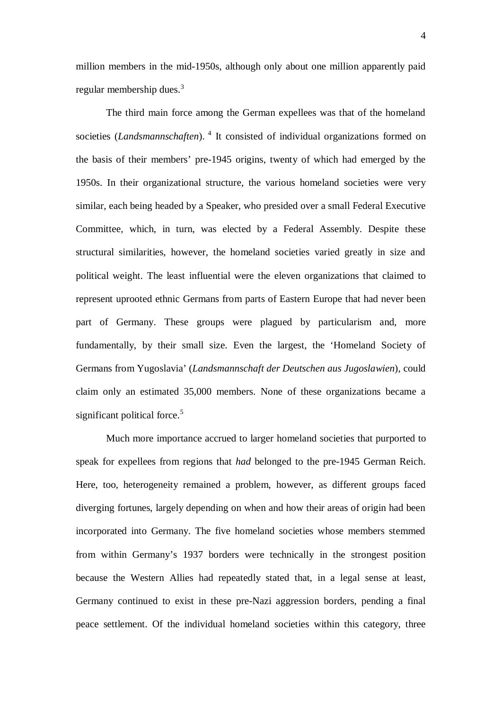million members in the mid-1950s, although only about one million apparently paid regular membership dues.<sup>3</sup>

The third main force among the German expellees was that of the homeland societies (*Landsmannschaften*).<sup>4</sup> It consisted of individual organizations formed on the basis of their members' pre-1945 origins, twenty of which had emerged by the 1950s. In their organizational structure, the various homeland societies were very similar, each being headed by a Speaker, who presided over a small Federal Executive Committee, which, in turn, was elected by a Federal Assembly. Despite these structural similarities, however, the homeland societies varied greatly in size and political weight. The least influential were the eleven organizations that claimed to represent uprooted ethnic Germans from parts of Eastern Europe that had never been part of Germany. These groups were plagued by particularism and, more fundamentally, by their small size. Even the largest, the 'Homeland Society of Germans from Yugoslavia' (*Landsmannschaft der Deutschen aus Jugoslawien*), could claim only an estimated 35,000 members. None of these organizations became a significant political force.<sup>5</sup>

Much more importance accrued to larger homeland societies that purported to speak for expellees from regions that *had* belonged to the pre-1945 German Reich. Here, too, heterogeneity remained a problem, however, as different groups faced diverging fortunes, largely depending on when and how their areas of origin had been incorporated into Germany. The five homeland societies whose members stemmed from within Germany's 1937 borders were technically in the strongest position because the Western Allies had repeatedly stated that, in a legal sense at least, Germany continued to exist in these pre-Nazi aggression borders, pending a final peace settlement. Of the individual homeland societies within this category, three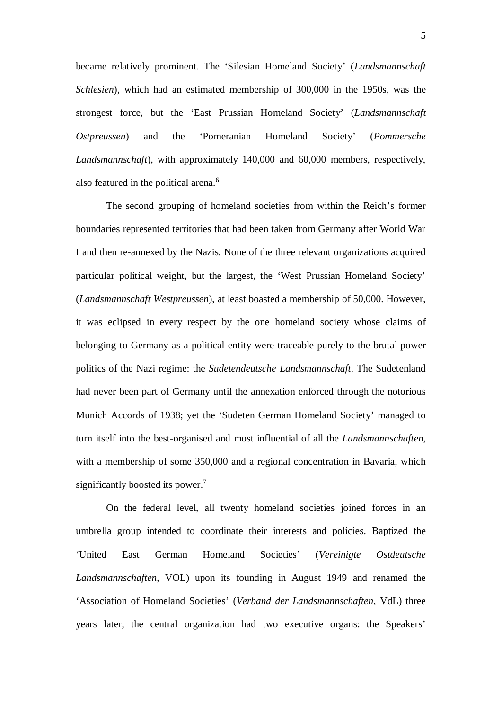became relatively prominent. The 'Silesian Homeland Society' (*Landsmannschaft Schlesien*), which had an estimated membership of 300,000 in the 1950s, was the strongest force, but the 'East Prussian Homeland Society' (*Landsmannschaft Ostpreussen*) and the 'Pomeranian Homeland Society' (*Pommersche Landsmannschaft*), with approximately 140,000 and 60,000 members, respectively, also featured in the political arena.<sup>6</sup>

The second grouping of homeland societies from within the Reich's former boundaries represented territories that had been taken from Germany after World War I and then re-annexed by the Nazis. None of the three relevant organizations acquired particular political weight, but the largest, the 'West Prussian Homeland Society' (*Landsmannschaft Westpreussen*), at least boasted a membership of 50,000. However, it was eclipsed in every respect by the one homeland society whose claims of belonging to Germany as a political entity were traceable purely to the brutal power politics of the Nazi regime: the *Sudetendeutsche Landsmannschaft*. The Sudetenland had never been part of Germany until the annexation enforced through the notorious Munich Accords of 1938; yet the 'Sudeten German Homeland Society' managed to turn itself into the best-organised and most influential of all the *Landsmannschaften*, with a membership of some 350,000 and a regional concentration in Bavaria, which significantly boosted its power.<sup>7</sup>

On the federal level, all twenty homeland societies joined forces in an umbrella group intended to coordinate their interests and policies. Baptized the 'United East German Homeland Societies' (*Vereinigte Ostdeutsche Landsmannschaften*, VOL) upon its founding in August 1949 and renamed the 'Association of Homeland Societies' (*Verband der Landsmannschaften*, VdL) three years later, the central organization had two executive organs: the Speakers'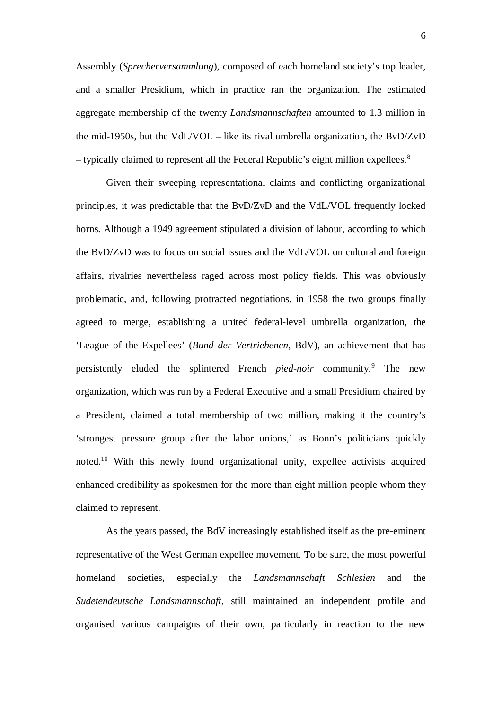Assembly (*Sprecherversammlung*), composed of each homeland society's top leader, and a smaller Presidium, which in practice ran the organization. The estimated aggregate membership of the twenty *Landsmannschaften* amounted to 1.3 million in the mid-1950s, but the VdL/VOL – like its rival umbrella organization, the BvD/ZvD – typically claimed to represent all the Federal Republic's eight million expellees.<sup>8</sup>

Given their sweeping representational claims and conflicting organizational principles, it was predictable that the BvD/ZvD and the VdL/VOL frequently locked horns. Although a 1949 agreement stipulated a division of labour, according to which the BvD/ZvD was to focus on social issues and the VdL/VOL on cultural and foreign affairs, rivalries nevertheless raged across most policy fields. This was obviously problematic, and, following protracted negotiations, in 1958 the two groups finally agreed to merge, establishing a united federal-level umbrella organization, the 'League of the Expellees' (*Bund der Vertriebenen*, BdV), an achievement that has persistently eluded the splintered French *pied-noir* community.<sup>9</sup> The new organization, which was run by a Federal Executive and a small Presidium chaired by a President, claimed a total membership of two million, making it the country's 'strongest pressure group after the labor unions,' as Bonn's politicians quickly noted.<sup>10</sup> With this newly found organizational unity, expellee activists acquired enhanced credibility as spokesmen for the more than eight million people whom they claimed to represent.

As the years passed, the BdV increasingly established itself as the pre-eminent representative of the West German expellee movement. To be sure, the most powerful homeland societies, especially the *Landsmannschaft Schlesien* and the *Sudetendeutsche Landsmannschaft*, still maintained an independent profile and organised various campaigns of their own, particularly in reaction to the new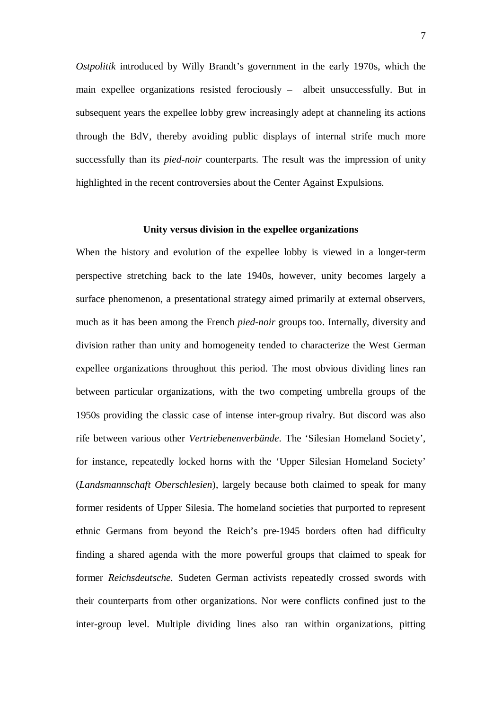*Ostpolitik* introduced by Willy Brandt's government in the early 1970s, which the main expellee organizations resisted ferociously – albeit unsuccessfully. But in subsequent years the expellee lobby grew increasingly adept at channeling its actions through the BdV, thereby avoiding public displays of internal strife much more successfully than its *pied-noir* counterparts. The result was the impression of unity highlighted in the recent controversies about the Center Against Expulsions.

#### **Unity versus division in the expellee organizations**

When the history and evolution of the expellee lobby is viewed in a longer-term perspective stretching back to the late 1940s, however, unity becomes largely a surface phenomenon, a presentational strategy aimed primarily at external observers, much as it has been among the French *pied-noir* groups too. Internally, diversity and division rather than unity and homogeneity tended to characterize the West German expellee organizations throughout this period. The most obvious dividing lines ran between particular organizations, with the two competing umbrella groups of the 1950s providing the classic case of intense inter-group rivalry. But discord was also rife between various other *Vertriebenenverbände*. The 'Silesian Homeland Society', for instance, repeatedly locked horns with the 'Upper Silesian Homeland Society' (*Landsmannschaft Oberschlesien*), largely because both claimed to speak for many former residents of Upper Silesia. The homeland societies that purported to represent ethnic Germans from beyond the Reich's pre-1945 borders often had difficulty finding a shared agenda with the more powerful groups that claimed to speak for former *Reichsdeutsche*. Sudeten German activists repeatedly crossed swords with their counterparts from other organizations. Nor were conflicts confined just to the inter-group level. Multiple dividing lines also ran within organizations, pitting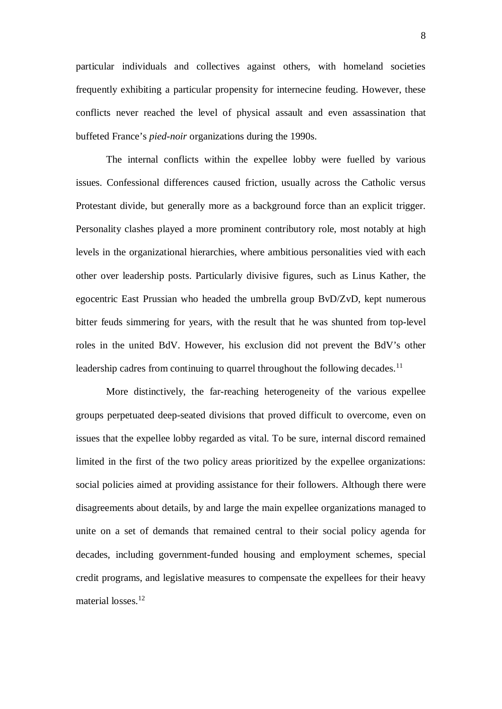particular individuals and collectives against others, with homeland societies frequently exhibiting a particular propensity for internecine feuding. However, these conflicts never reached the level of physical assault and even assassination that buffeted France's *pied-noir* organizations during the 1990s.

The internal conflicts within the expellee lobby were fuelled by various issues. Confessional differences caused friction, usually across the Catholic versus Protestant divide, but generally more as a background force than an explicit trigger. Personality clashes played a more prominent contributory role, most notably at high levels in the organizational hierarchies, where ambitious personalities vied with each other over leadership posts. Particularly divisive figures, such as Linus Kather, the egocentric East Prussian who headed the umbrella group BvD/ZvD, kept numerous bitter feuds simmering for years, with the result that he was shunted from top-level roles in the united BdV. However, his exclusion did not prevent the BdV's other leadership cadres from continuing to quarrel throughout the following decades.<sup>11</sup>

More distinctively, the far-reaching heterogeneity of the various expellee groups perpetuated deep-seated divisions that proved difficult to overcome, even on issues that the expellee lobby regarded as vital. To be sure, internal discord remained limited in the first of the two policy areas prioritized by the expellee organizations: social policies aimed at providing assistance for their followers. Although there were disagreements about details, by and large the main expellee organizations managed to unite on a set of demands that remained central to their social policy agenda for decades, including government-funded housing and employment schemes, special credit programs, and legislative measures to compensate the expellees for their heavy material losses.<sup>12</sup>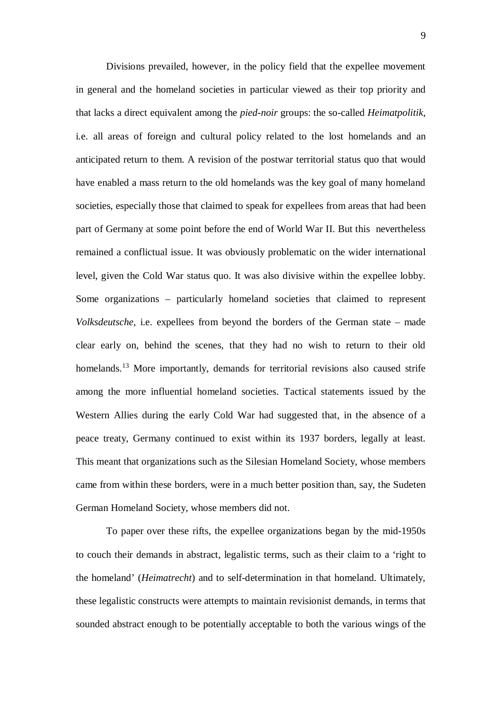Divisions prevailed, however, in the policy field that the expellee movement in general and the homeland societies in particular viewed as their top priority and that lacks a direct equivalent among the *pied-noir* groups: the so-called *Heimatpolitik*, i.e. all areas of foreign and cultural policy related to the lost homelands and an anticipated return to them. A revision of the postwar territorial status quo that would have enabled a mass return to the old homelands was the key goal of many homeland societies, especially those that claimed to speak for expellees from areas that had been part of Germany at some point before the end of World War II. But this nevertheless remained a conflictual issue. It was obviously problematic on the wider international level, given the Cold War status quo. It was also divisive within the expellee lobby. Some organizations – particularly homeland societies that claimed to represent *Volksdeutsche,* i.e. expellees from beyond the borders of the German state – made clear early on, behind the scenes, that they had no wish to return to their old homelands.<sup>13</sup> More importantly, demands for territorial revisions also caused strife among the more influential homeland societies. Tactical statements issued by the Western Allies during the early Cold War had suggested that, in the absence of a peace treaty, Germany continued to exist within its 1937 borders, legally at least. This meant that organizations such as the Silesian Homeland Society, whose members came from within these borders, were in a much better position than, say, the Sudeten German Homeland Society, whose members did not.

To paper over these rifts, the expellee organizations began by the mid-1950s to couch their demands in abstract, legalistic terms, such as their claim to a 'right to the homeland' (*Heimatrecht*) and to self-determination in that homeland. Ultimately, these legalistic constructs were attempts to maintain revisionist demands, in terms that sounded abstract enough to be potentially acceptable to both the various wings of the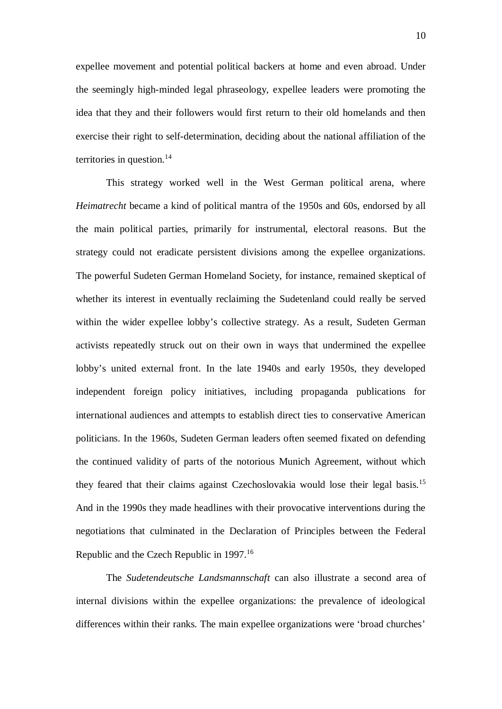expellee movement and potential political backers at home and even abroad. Under the seemingly high-minded legal phraseology, expellee leaders were promoting the idea that they and their followers would first return to their old homelands and then exercise their right to self-determination, deciding about the national affiliation of the territories in question. $14$ 

This strategy worked well in the West German political arena, where *Heimatrecht* became a kind of political mantra of the 1950s and 60s, endorsed by all the main political parties, primarily for instrumental, electoral reasons. But the strategy could not eradicate persistent divisions among the expellee organizations. The powerful Sudeten German Homeland Society, for instance, remained skeptical of whether its interest in eventually reclaiming the Sudetenland could really be served within the wider expellee lobby's collective strategy. As a result, Sudeten German activists repeatedly struck out on their own in ways that undermined the expellee lobby's united external front. In the late 1940s and early 1950s, they developed independent foreign policy initiatives, including propaganda publications for international audiences and attempts to establish direct ties to conservative American politicians. In the 1960s, Sudeten German leaders often seemed fixated on defending the continued validity of parts of the notorious Munich Agreement, without which they feared that their claims against Czechoslovakia would lose their legal basis.<sup>15</sup> And in the 1990s they made headlines with their provocative interventions during the negotiations that culminated in the Declaration of Principles between the Federal Republic and the Czech Republic in 1997.<sup>16</sup>

The *Sudetendeutsche Landsmannschaft* can also illustrate a second area of internal divisions within the expellee organizations: the prevalence of ideological differences within their ranks. The main expellee organizations were 'broad churches'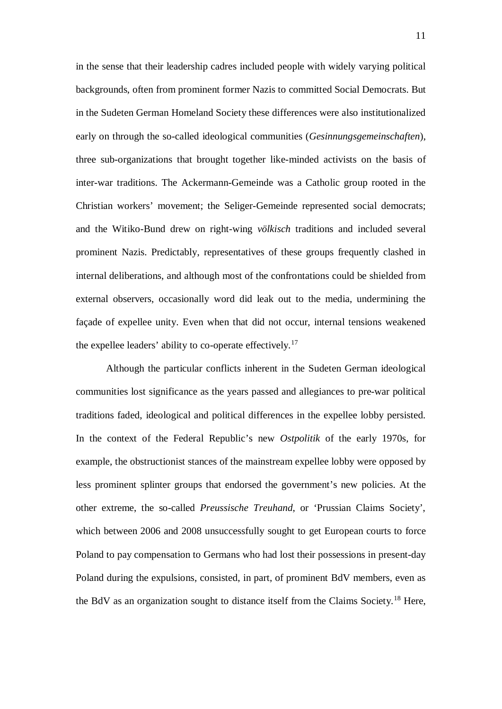in the sense that their leadership cadres included people with widely varying political backgrounds, often from prominent former Nazis to committed Social Democrats. But in the Sudeten German Homeland Society these differences were also institutionalized early on through the so-called ideological communities (*Gesinnungsgemeinschaften*), three sub-organizations that brought together like-minded activists on the basis of inter-war traditions. The Ackermann-Gemeinde was a Catholic group rooted in the Christian workers' movement; the Seliger-Gemeinde represented social democrats; and the Witiko-Bund drew on right-wing *völkisch* traditions and included several prominent Nazis. Predictably, representatives of these groups frequently clashed in internal deliberations, and although most of the confrontations could be shielded from external observers, occasionally word did leak out to the media, undermining the façade of expellee unity. Even when that did not occur, internal tensions weakened the expellee leaders' ability to co-operate effectively.<sup>17</sup>

Although the particular conflicts inherent in the Sudeten German ideological communities lost significance as the years passed and allegiances to pre-war political traditions faded, ideological and political differences in the expellee lobby persisted. In the context of the Federal Republic's new *Ostpolitik* of the early 1970s, for example, the obstructionist stances of the mainstream expellee lobby were opposed by less prominent splinter groups that endorsed the government's new policies. At the other extreme, the so-called *Preussische Treuhand*, or 'Prussian Claims Society', which between 2006 and 2008 unsuccessfully sought to get European courts to force Poland to pay compensation to Germans who had lost their possessions in present-day Poland during the expulsions, consisted, in part, of prominent BdV members, even as the BdV as an organization sought to distance itself from the Claims Society.<sup>18</sup> Here,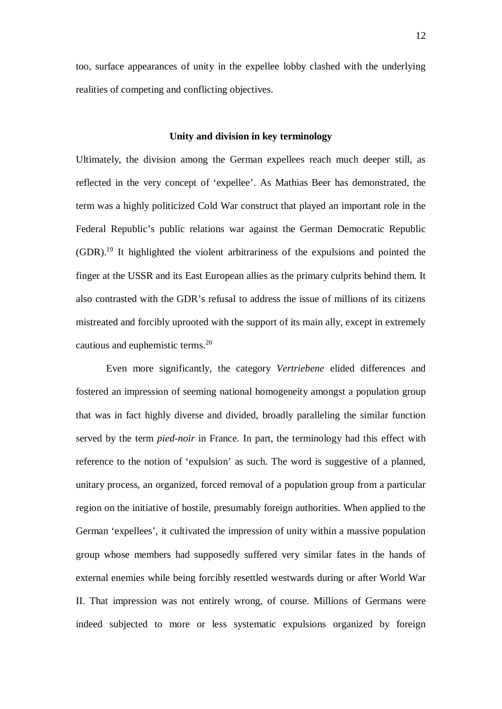too, surface appearances of unity in the expellee lobby clashed with the underlying realities of competing and conflicting objectives.

#### **Unity and division in key terminology**

Ultimately, the division among the German expellees reach much deeper still, as reflected in the very concept of 'expellee'. As Mathias Beer has demonstrated, the term was a highly politicized Cold War construct that played an important role in the Federal Republic's public relations war against the German Democratic Republic (GDR).<sup>19</sup> It highlighted the violent arbitrariness of the expulsions and pointed the finger at the USSR and its East European allies as the primary culprits behind them. It also contrasted with the GDR's refusal to address the issue of millions of its citizens mistreated and forcibly uprooted with the support of its main ally, except in extremely cautious and euphemistic terms.<sup>20</sup>

Even more significantly, the category *Vertriebene* elided differences and fostered an impression of seeming national homogeneity amongst a population group that was in fact highly diverse and divided, broadly paralleling the similar function served by the term *pied-noir* in France. In part, the terminology had this effect with reference to the notion of 'expulsion' as such. The word is suggestive of a planned, unitary process, an organized, forced removal of a population group from a particular region on the initiative of hostile, presumably foreign authorities. When applied to the German 'expellees', it cultivated the impression of unity within a massive population group whose members had supposedly suffered very similar fates in the hands of external enemies while being forcibly resettled westwards during or after World War II. That impression was not entirely wrong, of course. Millions of Germans were indeed subjected to more or less systematic expulsions organized by foreign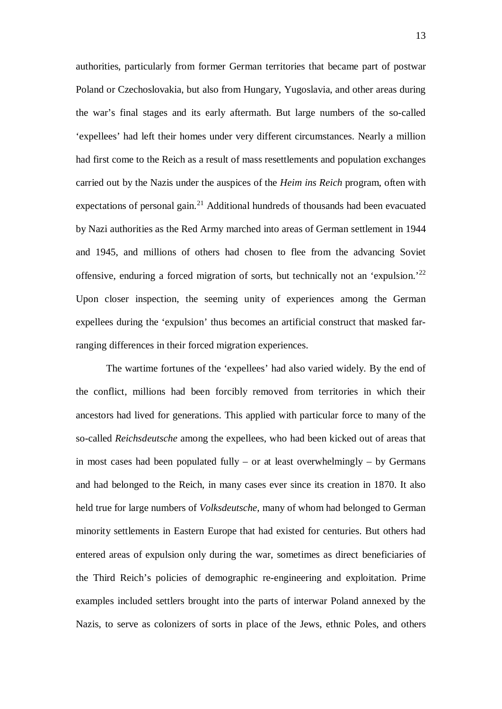authorities, particularly from former German territories that became part of postwar Poland or Czechoslovakia, but also from Hungary, Yugoslavia, and other areas during the war's final stages and its early aftermath. But large numbers of the so-called 'expellees' had left their homes under very different circumstances. Nearly a million had first come to the Reich as a result of mass resettlements and population exchanges carried out by the Nazis under the auspices of the *Heim ins Reich* program, often with expectations of personal gain.<sup>21</sup> Additional hundreds of thousands had been evacuated by Nazi authorities as the Red Army marched into areas of German settlement in 1944 and 1945, and millions of others had chosen to flee from the advancing Soviet offensive, enduring a forced migration of sorts, but technically not an 'expulsion.'<sup>22</sup> Upon closer inspection, the seeming unity of experiences among the German expellees during the 'expulsion' thus becomes an artificial construct that masked farranging differences in their forced migration experiences.

The wartime fortunes of the 'expellees' had also varied widely. By the end of the conflict, millions had been forcibly removed from territories in which their ancestors had lived for generations. This applied with particular force to many of the so-called *Reichsdeutsche* among the expellees, who had been kicked out of areas that in most cases had been populated fully – or at least overwhelmingly – by Germans and had belonged to the Reich, in many cases ever since its creation in 1870. It also held true for large numbers of *Volksdeutsche*, many of whom had belonged to German minority settlements in Eastern Europe that had existed for centuries. But others had entered areas of expulsion only during the war, sometimes as direct beneficiaries of the Third Reich's policies of demographic re-engineering and exploitation. Prime examples included settlers brought into the parts of interwar Poland annexed by the Nazis, to serve as colonizers of sorts in place of the Jews, ethnic Poles, and others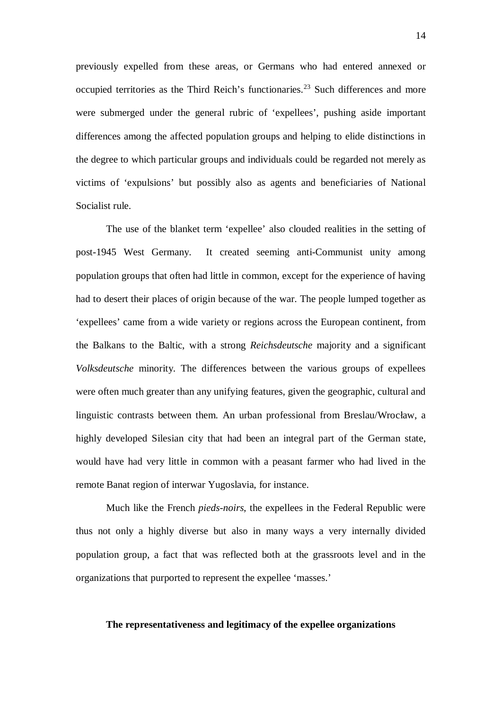previously expelled from these areas, or Germans who had entered annexed or occupied territories as the Third Reich's functionaries.<sup>23</sup> Such differences and more were submerged under the general rubric of 'expellees', pushing aside important differences among the affected population groups and helping to elide distinctions in the degree to which particular groups and individuals could be regarded not merely as victims of 'expulsions' but possibly also as agents and beneficiaries of National Socialist rule.

The use of the blanket term 'expellee' also clouded realities in the setting of post-1945 West Germany. It created seeming anti-Communist unity among population groups that often had little in common, except for the experience of having had to desert their places of origin because of the war. The people lumped together as 'expellees' came from a wide variety or regions across the European continent, from the Balkans to the Baltic, with a strong *Reichsdeutsche* majority and a significant *Volksdeutsche* minority. The differences between the various groups of expellees were often much greater than any unifying features, given the geographic, cultural and linguistic contrasts between them. An urban professional from Breslau/Wrocław, a highly developed Silesian city that had been an integral part of the German state, would have had very little in common with a peasant farmer who had lived in the remote Banat region of interwar Yugoslavia, for instance.

Much like the French *pieds-noirs*, the expellees in the Federal Republic were thus not only a highly diverse but also in many ways a very internally divided population group, a fact that was reflected both at the grassroots level and in the organizations that purported to represent the expellee 'masses.'

## **The representativeness and legitimacy of the expellee organizations**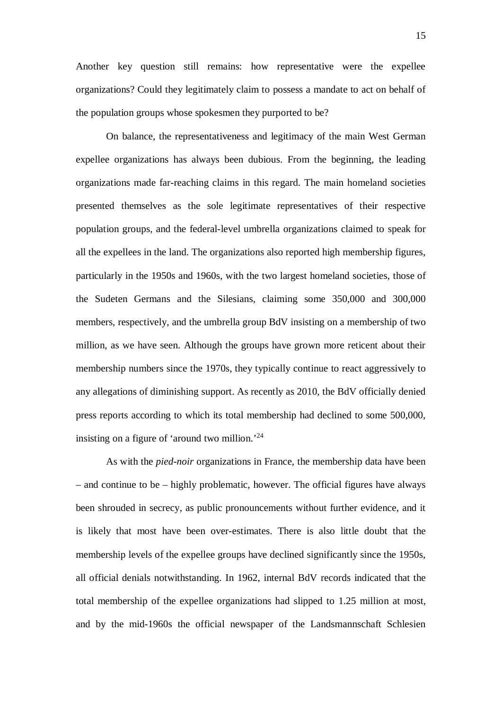Another key question still remains: how representative were the expellee organizations? Could they legitimately claim to possess a mandate to act on behalf of the population groups whose spokesmen they purported to be?

On balance, the representativeness and legitimacy of the main West German expellee organizations has always been dubious. From the beginning, the leading organizations made far-reaching claims in this regard. The main homeland societies presented themselves as the sole legitimate representatives of their respective population groups, and the federal-level umbrella organizations claimed to speak for all the expellees in the land. The organizations also reported high membership figures, particularly in the 1950s and 1960s, with the two largest homeland societies, those of the Sudeten Germans and the Silesians, claiming some 350,000 and 300,000 members, respectively, and the umbrella group BdV insisting on a membership of two million, as we have seen. Although the groups have grown more reticent about their membership numbers since the 1970s, they typically continue to react aggressively to any allegations of diminishing support. As recently as 2010, the BdV officially denied press reports according to which its total membership had declined to some 500,000, insisting on a figure of 'around two million.'<sup>24</sup>

As with the *pied-noir* organizations in France, the membership data have been – and continue to be – highly problematic, however. The official figures have always been shrouded in secrecy, as public pronouncements without further evidence, and it is likely that most have been over-estimates. There is also little doubt that the membership levels of the expellee groups have declined significantly since the 1950s, all official denials notwithstanding. In 1962, internal BdV records indicated that the total membership of the expellee organizations had slipped to 1.25 million at most, and by the mid-1960s the official newspaper of the Landsmannschaft Schlesien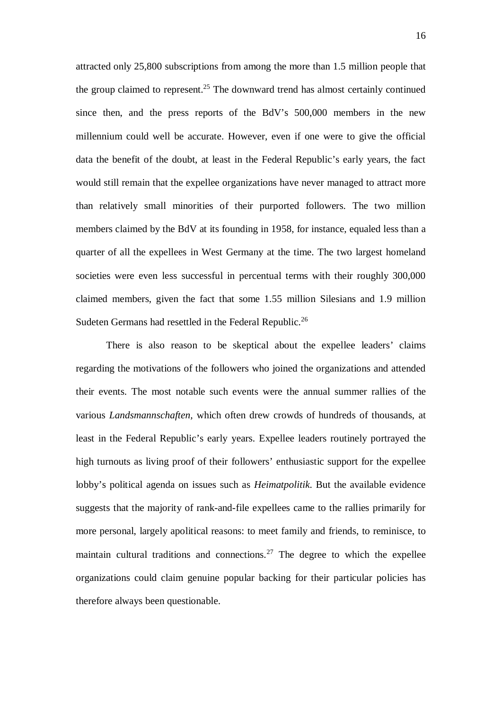attracted only 25,800 subscriptions from among the more than 1.5 million people that the group claimed to represent.<sup>25</sup> The downward trend has almost certainly continued since then, and the press reports of the BdV's 500,000 members in the new millennium could well be accurate. However, even if one were to give the official data the benefit of the doubt, at least in the Federal Republic's early years, the fact would still remain that the expellee organizations have never managed to attract more than relatively small minorities of their purported followers. The two million members claimed by the BdV at its founding in 1958, for instance, equaled less than a quarter of all the expellees in West Germany at the time. The two largest homeland societies were even less successful in percentual terms with their roughly 300,000 claimed members, given the fact that some 1.55 million Silesians and 1.9 million Sudeten Germans had resettled in the Federal Republic.<sup>26</sup>

There is also reason to be skeptical about the expellee leaders' claims regarding the motivations of the followers who joined the organizations and attended their events. The most notable such events were the annual summer rallies of the various *Landsmannschaften,* which often drew crowds of hundreds of thousands, at least in the Federal Republic's early years. Expellee leaders routinely portrayed the high turnouts as living proof of their followers' enthusiastic support for the expellee lobby's political agenda on issues such as *Heimatpolitik*. But the available evidence suggests that the majority of rank-and-file expellees came to the rallies primarily for more personal, largely apolitical reasons: to meet family and friends, to reminisce, to maintain cultural traditions and connections.<sup>27</sup> The degree to which the expellee organizations could claim genuine popular backing for their particular policies has therefore always been questionable.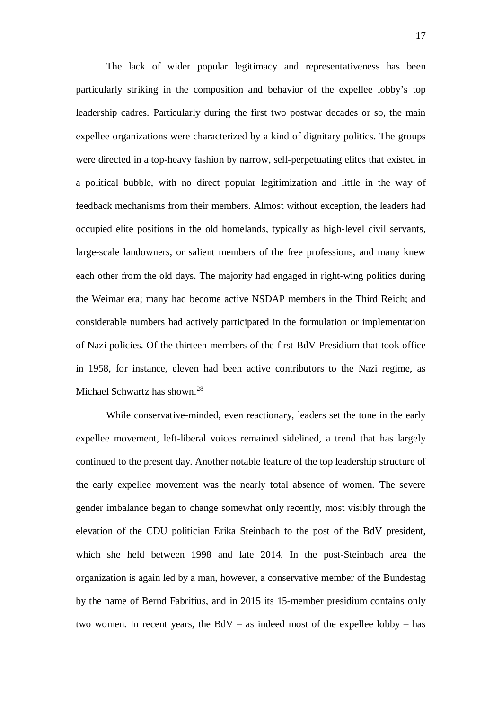The lack of wider popular legitimacy and representativeness has been particularly striking in the composition and behavior of the expellee lobby's top leadership cadres. Particularly during the first two postwar decades or so, the main expellee organizations were characterized by a kind of dignitary politics. The groups were directed in a top-heavy fashion by narrow, self-perpetuating elites that existed in a political bubble, with no direct popular legitimization and little in the way of feedback mechanisms from their members. Almost without exception, the leaders had occupied elite positions in the old homelands, typically as high-level civil servants, large-scale landowners, or salient members of the free professions, and many knew each other from the old days. The majority had engaged in right-wing politics during the Weimar era; many had become active NSDAP members in the Third Reich; and considerable numbers had actively participated in the formulation or implementation of Nazi policies. Of the thirteen members of the first BdV Presidium that took office in 1958, for instance, eleven had been active contributors to the Nazi regime, as Michael Schwartz has shown.<sup>28</sup>

While conservative-minded, even reactionary, leaders set the tone in the early expellee movement, left-liberal voices remained sidelined, a trend that has largely continued to the present day. Another notable feature of the top leadership structure of the early expellee movement was the nearly total absence of women. The severe gender imbalance began to change somewhat only recently, most visibly through the elevation of the CDU politician Erika Steinbach to the post of the BdV president, which she held between 1998 and late 2014. In the post-Steinbach area the organization is again led by a man, however, a conservative member of the Bundestag by the name of Bernd Fabritius, and in 2015 its 15-member presidium contains only two women. In recent years, the  $BdV - as$  indeed most of the expellee lobby – has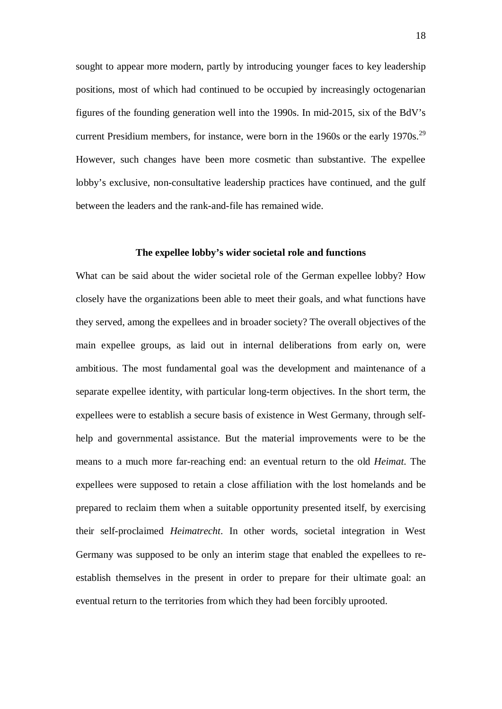sought to appear more modern, partly by introducing younger faces to key leadership positions, most of which had continued to be occupied by increasingly octogenarian figures of the founding generation well into the 1990s. In mid-2015, six of the BdV's current Presidium members, for instance, were born in the 1960s or the early 1970s.<sup>29</sup> However, such changes have been more cosmetic than substantive. The expellee lobby's exclusive, non-consultative leadership practices have continued, and the gulf between the leaders and the rank-and-file has remained wide.

#### **The expellee lobby's wider societal role and functions**

What can be said about the wider societal role of the German expellee lobby? How closely have the organizations been able to meet their goals, and what functions have they served, among the expellees and in broader society? The overall objectives of the main expellee groups, as laid out in internal deliberations from early on, were ambitious. The most fundamental goal was the development and maintenance of a separate expellee identity, with particular long-term objectives. In the short term, the expellees were to establish a secure basis of existence in West Germany, through selfhelp and governmental assistance. But the material improvements were to be the means to a much more far-reaching end: an eventual return to the old *Heimat*. The expellees were supposed to retain a close affiliation with the lost homelands and be prepared to reclaim them when a suitable opportunity presented itself, by exercising their self-proclaimed *Heimatrecht*. In other words, societal integration in West Germany was supposed to be only an interim stage that enabled the expellees to reestablish themselves in the present in order to prepare for their ultimate goal: an eventual return to the territories from which they had been forcibly uprooted.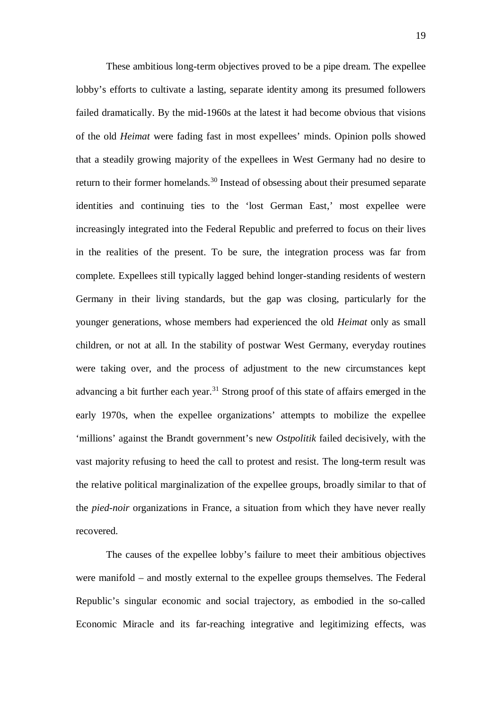These ambitious long-term objectives proved to be a pipe dream. The expellee lobby's efforts to cultivate a lasting, separate identity among its presumed followers failed dramatically. By the mid-1960s at the latest it had become obvious that visions of the old *Heimat* were fading fast in most expellees' minds. Opinion polls showed that a steadily growing majority of the expellees in West Germany had no desire to return to their former homelands.<sup>30</sup> Instead of obsessing about their presumed separate identities and continuing ties to the 'lost German East,' most expellee were increasingly integrated into the Federal Republic and preferred to focus on their lives in the realities of the present. To be sure, the integration process was far from complete. Expellees still typically lagged behind longer-standing residents of western Germany in their living standards, but the gap was closing, particularly for the younger generations, whose members had experienced the old *Heimat* only as small children, or not at all. In the stability of postwar West Germany, everyday routines were taking over, and the process of adjustment to the new circumstances kept advancing a bit further each year.<sup>31</sup> Strong proof of this state of affairs emerged in the early 1970s, when the expellee organizations' attempts to mobilize the expellee 'millions' against the Brandt government's new *Ostpolitik* failed decisively, with the vast majority refusing to heed the call to protest and resist. The long-term result was the relative political marginalization of the expellee groups, broadly similar to that of the *pied-noir* organizations in France, a situation from which they have never really recovered.

The causes of the expellee lobby's failure to meet their ambitious objectives were manifold – and mostly external to the expellee groups themselves. The Federal Republic's singular economic and social trajectory, as embodied in the so-called Economic Miracle and its far-reaching integrative and legitimizing effects, was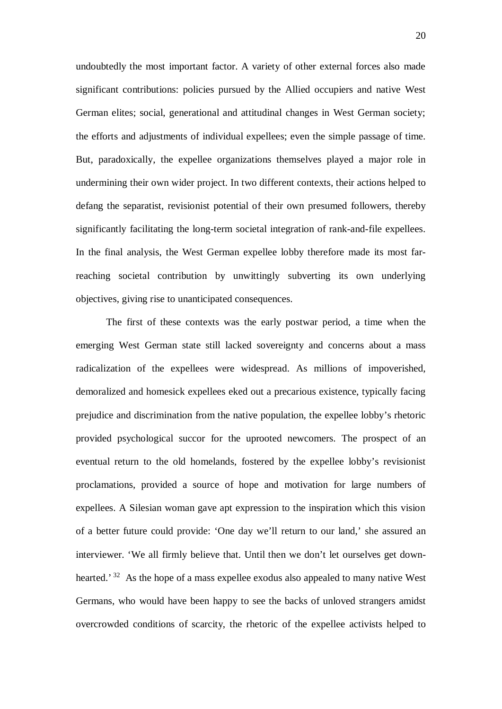undoubtedly the most important factor. A variety of other external forces also made significant contributions: policies pursued by the Allied occupiers and native West German elites; social, generational and attitudinal changes in West German society; the efforts and adjustments of individual expellees; even the simple passage of time. But, paradoxically, the expellee organizations themselves played a major role in undermining their own wider project. In two different contexts, their actions helped to defang the separatist, revisionist potential of their own presumed followers, thereby significantly facilitating the long-term societal integration of rank-and-file expellees. In the final analysis, the West German expellee lobby therefore made its most farreaching societal contribution by unwittingly subverting its own underlying objectives, giving rise to unanticipated consequences.

The first of these contexts was the early postwar period, a time when the emerging West German state still lacked sovereignty and concerns about a mass radicalization of the expellees were widespread. As millions of impoverished, demoralized and homesick expellees eked out a precarious existence, typically facing prejudice and discrimination from the native population, the expellee lobby's rhetoric provided psychological succor for the uprooted newcomers. The prospect of an eventual return to the old homelands, fostered by the expellee lobby's revisionist proclamations, provided a source of hope and motivation for large numbers of expellees. A Silesian woman gave apt expression to the inspiration which this vision of a better future could provide: 'One day we'll return to our land,' she assured an interviewer. 'We all firmly believe that. Until then we don't let ourselves get downhearted.<sup>32</sup> As the hope of a mass expellee exodus also appealed to many native West Germans, who would have been happy to see the backs of unloved strangers amidst overcrowded conditions of scarcity, the rhetoric of the expellee activists helped to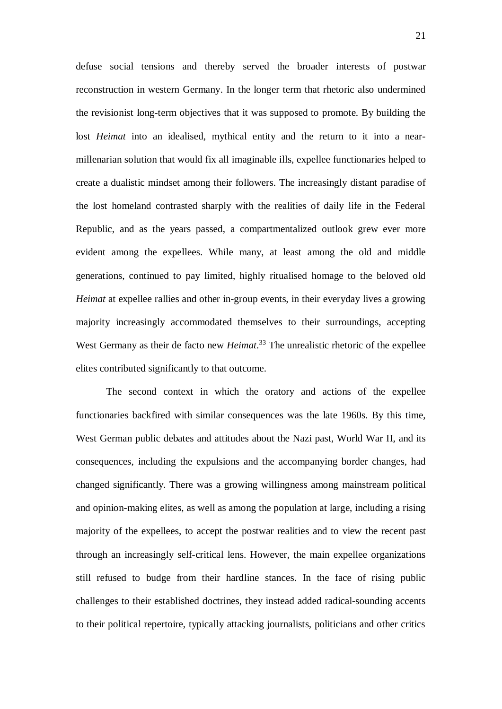defuse social tensions and thereby served the broader interests of postwar reconstruction in western Germany. In the longer term that rhetoric also undermined the revisionist long-term objectives that it was supposed to promote. By building the lost *Heimat* into an idealised, mythical entity and the return to it into a nearmillenarian solution that would fix all imaginable ills, expellee functionaries helped to create a dualistic mindset among their followers. The increasingly distant paradise of the lost homeland contrasted sharply with the realities of daily life in the Federal Republic, and as the years passed, a compartmentalized outlook grew ever more evident among the expellees. While many, at least among the old and middle generations, continued to pay limited, highly ritualised homage to the beloved old *Heimat* at expellee rallies and other in-group events, in their everyday lives a growing majority increasingly accommodated themselves to their surroundings, accepting West Germany as their de facto new *Heimat*.<sup>33</sup> The unrealistic rhetoric of the expellee elites contributed significantly to that outcome.

The second context in which the oratory and actions of the expellee functionaries backfired with similar consequences was the late 1960s. By this time, West German public debates and attitudes about the Nazi past, World War II, and its consequences, including the expulsions and the accompanying border changes, had changed significantly. There was a growing willingness among mainstream political and opinion-making elites, as well as among the population at large, including a rising majority of the expellees, to accept the postwar realities and to view the recent past through an increasingly self-critical lens. However, the main expellee organizations still refused to budge from their hardline stances. In the face of rising public challenges to their established doctrines, they instead added radical-sounding accents to their political repertoire, typically attacking journalists, politicians and other critics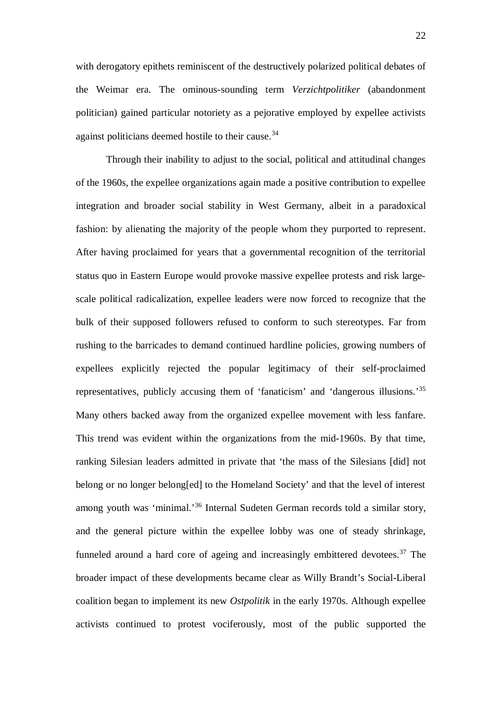with derogatory epithets reminiscent of the destructively polarized political debates of the Weimar era. The ominous-sounding term *Verzichtpolitiker* (abandonment politician) gained particular notoriety as a pejorative employed by expellee activists against politicians deemed hostile to their cause.<sup>34</sup>

Through their inability to adjust to the social, political and attitudinal changes of the 1960s, the expellee organizations again made a positive contribution to expellee integration and broader social stability in West Germany, albeit in a paradoxical fashion: by alienating the majority of the people whom they purported to represent. After having proclaimed for years that a governmental recognition of the territorial status quo in Eastern Europe would provoke massive expellee protests and risk largescale political radicalization, expellee leaders were now forced to recognize that the bulk of their supposed followers refused to conform to such stereotypes. Far from rushing to the barricades to demand continued hardline policies, growing numbers of expellees explicitly rejected the popular legitimacy of their self-proclaimed representatives, publicly accusing them of 'fanaticism' and 'dangerous illusions.'<sup>35</sup> Many others backed away from the organized expellee movement with less fanfare. This trend was evident within the organizations from the mid-1960s. By that time, ranking Silesian leaders admitted in private that 'the mass of the Silesians [did] not belong or no longer belong[ed] to the Homeland Society' and that the level of interest among youth was 'minimal.'<sup>36</sup> Internal Sudeten German records told a similar story, and the general picture within the expellee lobby was one of steady shrinkage, funneled around a hard core of ageing and increasingly embittered devotees.<sup>37</sup> The broader impact of these developments became clear as Willy Brandt's Social-Liberal coalition began to implement its new *Ostpolitik* in the early 1970s. Although expellee activists continued to protest vociferously, most of the public supported the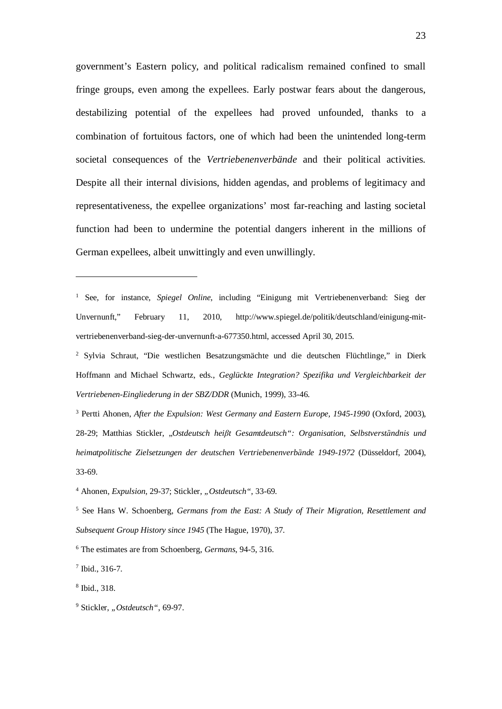government's Eastern policy, and political radicalism remained confined to small fringe groups, even among the expellees. Early postwar fears about the dangerous, destabilizing potential of the expellees had proved unfounded, thanks to a combination of fortuitous factors, one of which had been the unintended long-term societal consequences of the *Vertriebenenverbände* and their political activities. Despite all their internal divisions, hidden agendas, and problems of legitimacy and representativeness, the expellee organizations' most far-reaching and lasting societal function had been to undermine the potential dangers inherent in the millions of German expellees, albeit unwittingly and even unwillingly.

<sup>3</sup> Pertti Ahonen, After the Expulsion: West Germany and Eastern Europe, 1945-1990 (Oxford, 2003), 28-29; Matthias Stickler, "*Ostdeutsch heiβt Gesamtdeutsch": Organisation, Selbstverstȁndnis und heimatpolitische Zielsetzungen der deutschen Vertriebenenverbȁnde 1949-1972* (Düsseldorf, 2004), 33-69.

<sup>&</sup>lt;sup>1</sup> See, for instance, Spiegel Online, including "Einigung mit Vertriebenenverband: Sieg der Unvernunft," February 11, 2010, http://www.spiegel.de/politik/deutschland/einigung-mitvertriebenenverband-sieg-der-unvernunft-a-677350.html, accessed April 30, 2015.

<sup>&</sup>lt;sup>2</sup> Sylvia Schraut, "Die westlichen Besatzungsmächte und die deutschen Flüchtlinge," in Dierk Hoffmann and Michael Schwartz, eds., *Geglückte Integration? Spezifika und Vergleichbarkeit der Vertriebenen-Eingliederung in der SBZ/DDR* (Munich, 1999), 33-46.

<sup>&</sup>lt;sup>4</sup> Ahonen, *Expulsion*, 29-37; Stickler, "Ostdeutsch", 33-69.

<sup>5</sup> See Hans W. Schoenberg, *Germans from the East: A Study of Their Migration, Resettlement and Subsequent Group History since 1945* (The Hague, 1970), 37.

<sup>6</sup> The estimates are from Schoenberg, *Germans*, 94-5, 316.

<sup>7</sup> Ibid., 316-7.

<sup>8</sup> Ibid., 318.

<sup>&</sup>lt;sup>9</sup> Stickler, "Ostdeutsch", 69-97.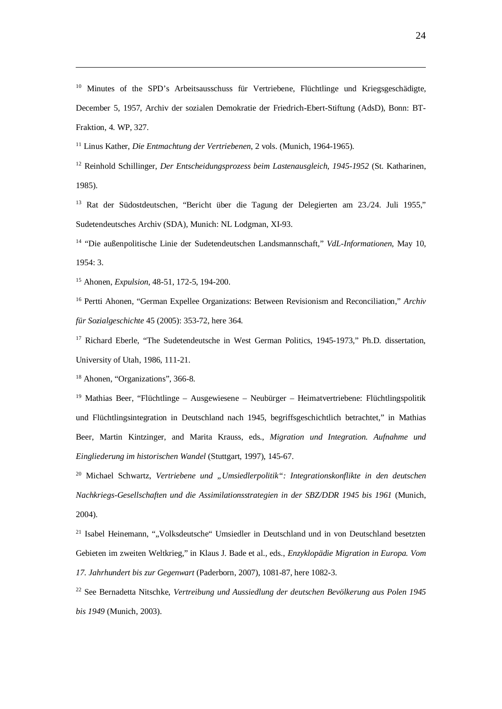<sup>10</sup> Minutes of the SPD's Arbeitsausschuss für Vertriebene, Flüchtlinge und Kriegsgeschädigte, December 5, 1957, Archiv der sozialen Demokratie der Friedrich-Ebert-Stiftung (AdsD), Bonn: BT-Fraktion, 4. WP, 327.

<sup>11</sup> Linus Kather, *Die Entmachtung der Vertriebenen*, 2 vols. (Munich, 1964-1965).

<sup>12</sup> Reinhold Schillinger, *Der Entscheidungsprozess beim Lastenausgleich, 1945-1952* (St. Katharinen, 1985).

<sup>13</sup> Rat der Südostdeutschen, "Bericht über die Tagung der Delegierten am 23./24. Juli 1955," Sudetendeutsches Archiv (SDA), Munich: NL Lodgman, XI-93.

<sup>14</sup> "Die außenpolitische Linie der Sudetendeutschen Landsmannschaft," *VdL-Informationen*, May 10, 1954: 3.

<sup>15</sup> Ahonen, *Expulsion*, 48-51, 172-5, 194-200.

<sup>16</sup> Pertti Ahonen, "German Expellee Organizations: Between Revisionism and Reconciliation," *Archiv für Sozialgeschichte* 45 (2005): 353-72, here 364.

<sup>17</sup> Richard Eberle, "The Sudetendeutsche in West German Politics, 1945-1973," Ph.D. dissertation, University of Utah, 1986, 111-21.

<sup>18</sup> Ahonen, "Organizations", 366-8.

<sup>19</sup> Mathias Beer, "Flüchtlinge – Ausgewiesene – Neubürger – Heimatvertriebene: Flüchtlingspolitik und Flüchtlingsintegration in Deutschland nach 1945, begriffsgeschichtlich betrachtet," in Mathias Beer, Martin Kintzinger, and Marita Krauss, eds., *Migration und Integration. Aufnahme und Eingliederung im historischen Wandel* (Stuttgart, 1997), 145-67.

<sup>20</sup> Michael Schwartz, *Vertriebene und "Umsiedlerpolitik": Integrationskonflikte in den deutschen Nachkriegs-Gesellschaften und die Assimilationsstrategien in der SBZ/DDR 1945 bis 1961* (Munich, 2004).

<sup>21</sup> Isabel Heinemann, ""Volksdeutsche" Umsiedler in Deutschland und in von Deutschland besetzten Gebieten im zweiten Weltkrieg," in Klaus J. Bade et al., eds., *Enzyklopädie Migration in Europa. Vom 17. Jahrhundert bis zur Gegenwart* (Paderborn, 2007), 1081-87, here 1082-3.

<sup>22</sup> See Bernadetta Nitschke, *Vertreibung und Aussiedlung der deutschen Bevölkerung aus Polen 1945 bis 1949* (Munich, 2003).